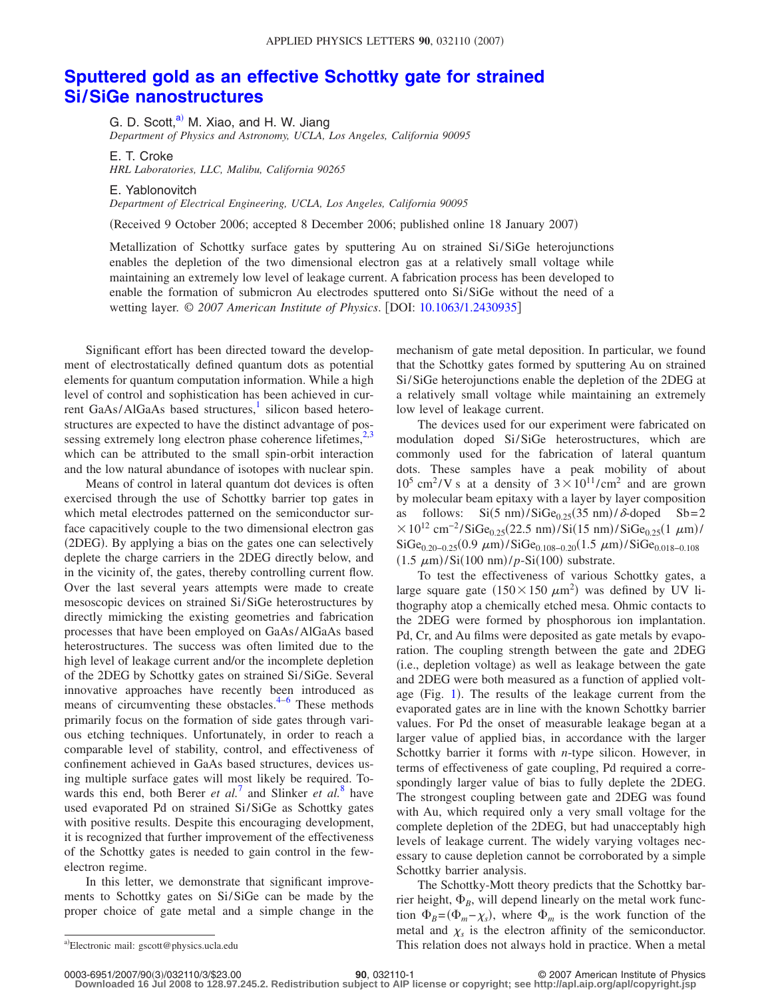## **[Sputtered gold as an effective Schottky gate for strained](http://dx.doi.org/10.1063/1.2430935) [Si/SiGe nanostructures](http://dx.doi.org/10.1063/1.2430935)**

G. D. Scott, $a^0$  M. Xiao, and H. W. Jiang *Department of Physics and Astronomy, UCLA, Los Angeles, California 90095*

E. T. Croke *HRL Laboratories, LLC, Malibu, California 90265*

E. Yablonovitch

*Department of Electrical Engineering, UCLA, Los Angeles, California 90095*

Received 9 October 2006; accepted 8 December 2006; published online 18 January 2007-

Metallization of Schottky surface gates by sputtering Au on strained Si/SiGe heterojunctions enables the depletion of the two dimensional electron gas at a relatively small voltage while maintaining an extremely low level of leakage current. A fabrication process has been developed to enable the formation of submicron Au electrodes sputtered onto Si/SiGe without the need of a wetting layer.  $\odot$  2007 American Institute of Physics. [DOI: [10.1063/1.2430935](http://dx.doi.org/10.1063/1.2430935)]

Significant effort has been directed toward the development of electrostatically defined quantum dots as potential elements for quantum computation information. While a high level of control and sophistication has been achieved in current GaAs/AlGaAs based structures,<sup>1</sup> silicon based heterostructures are expected to have the distinct advantage of possessing extremely long electron phase coherence lifetimes,  $2,3$  $2,3$ which can be attributed to the small spin-orbit interaction and the low natural abundance of isotopes with nuclear spin.

Means of control in lateral quantum dot devices is often exercised through the use of Schottky barrier top gates in which metal electrodes patterned on the semiconductor surface capacitively couple to the two dimensional electron gas (2DEG). By applying a bias on the gates one can selectively deplete the charge carriers in the 2DEG directly below, and in the vicinity of, the gates, thereby controlling current flow. Over the last several years attempts were made to create mesoscopic devices on strained Si/SiGe heterostructures by directly mimicking the existing geometries and fabrication processes that have been employed on GaAs/AlGaAs based heterostructures. The success was often limited due to the high level of leakage current and/or the incomplete depletion of the 2DEG by Schottky gates on strained Si/SiGe. Several innovative approaches have recently been introduced as means of circumventing these obstacles. $4-6$  $4-6$  These methods primarily focus on the formation of side gates through various etching techniques. Unfortunately, in order to reach a comparable level of stability, control, and effectiveness of confinement achieved in GaAs based structures, devices using multiple surface gates will most likely be required. Towards this end, both Berer *et al.*<sup>[7](#page-2-5)</sup> and Slinker *et al.*<sup>[8](#page-2-6)</sup> have used evaporated Pd on strained Si/SiGe as Schottky gates with positive results. Despite this encouraging development, it is recognized that further improvement of the effectiveness of the Schottky gates is needed to gain control in the fewelectron regime.

<span id="page-0-0"></span>In this letter, we demonstrate that significant improvements to Schottky gates on Si/SiGe can be made by the proper choice of gate metal and a simple change in the mechanism of gate metal deposition. In particular, we found that the Schottky gates formed by sputtering Au on strained Si/SiGe heterojunctions enable the depletion of the 2DEG at a relatively small voltage while maintaining an extremely low level of leakage current.

The devices used for our experiment were fabricated on modulation doped Si/SiGe heterostructures, which are commonly used for the fabrication of lateral quantum dots. These samples have a peak mobility of about  $10^5$  cm<sup>2</sup>/V s at a density of  $3 \times 10^{11} / \text{cm}^2$  and are grown by molecular beam epitaxy with a layer by layer composition as follows:  $Si(5 \text{ nm})/SiGe_{0.25}(35 \text{ nm})/\delta$ -doped  $Sb=2$  $\times 10^{12}$  cm<sup>-2</sup>/SiGe<sub>0.25</sub>(22.5 nm)/Si(15 nm)/SiGe<sub>0.25</sub>(1  $\mu$ m)/  $\text{SiGe}_{0.20-0.25}(0.9 \ \mu\text{m})/\text{SiGe}_{0.108-0.20}(1.5 \ \mu\text{m})/\text{SiGe}_{0.018-0.108}$  $(1.5 \ \mu m)/\mathrm{Si}(100 \ nm) / p\text{-Si}(100)$  substrate.

To test the effectiveness of various Schottky gates, a large square gate  $(150 \times 150 \ \mu m^2)$  was defined by UV lithography atop a chemically etched mesa. Ohmic contacts to the 2DEG were formed by phosphorous ion implantation. Pd, Cr, and Au films were deposited as gate metals by evaporation. The coupling strength between the gate and 2DEG (i.e., depletion voltage) as well as leakage between the gate and 2DEG were both measured as a function of applied volt-age (Fig. [1](#page-1-0)). The results of the leakage current from the evaporated gates are in line with the known Schottky barrier values. For Pd the onset of measurable leakage began at a larger value of applied bias, in accordance with the larger Schottky barrier it forms with *n*-type silicon. However, in terms of effectiveness of gate coupling, Pd required a correspondingly larger value of bias to fully deplete the 2DEG. The strongest coupling between gate and 2DEG was found with Au, which required only a very small voltage for the complete depletion of the 2DEG, but had unacceptably high levels of leakage current. The widely varying voltages necessary to cause depletion cannot be corroborated by a simple Schottky barrier analysis.

The Schottky-Mott theory predicts that the Schottky barrier height,  $\Phi_B$ , will depend linearly on the metal work function  $\Phi_B = (\Phi_m - \chi_s)$ , where  $\Phi_m$  is the work function of the metal and  $\chi_s$  is the electron affinity of the semiconductor. This relation does not always hold in practice. When a metal

0003-6951/2007/90(3)/032110/3/\$23.00

**Downloaded 16 Jul 2008 to 128.97.245.2. Redistribution subject to AIP license or copyright; see http://apl.aip.org/apl/copyright.jsp**

Electronic mail: gscott@physics.ucla.edu

**<sup>30</sup>**, 032110-1 © 2007 American Institute of Physics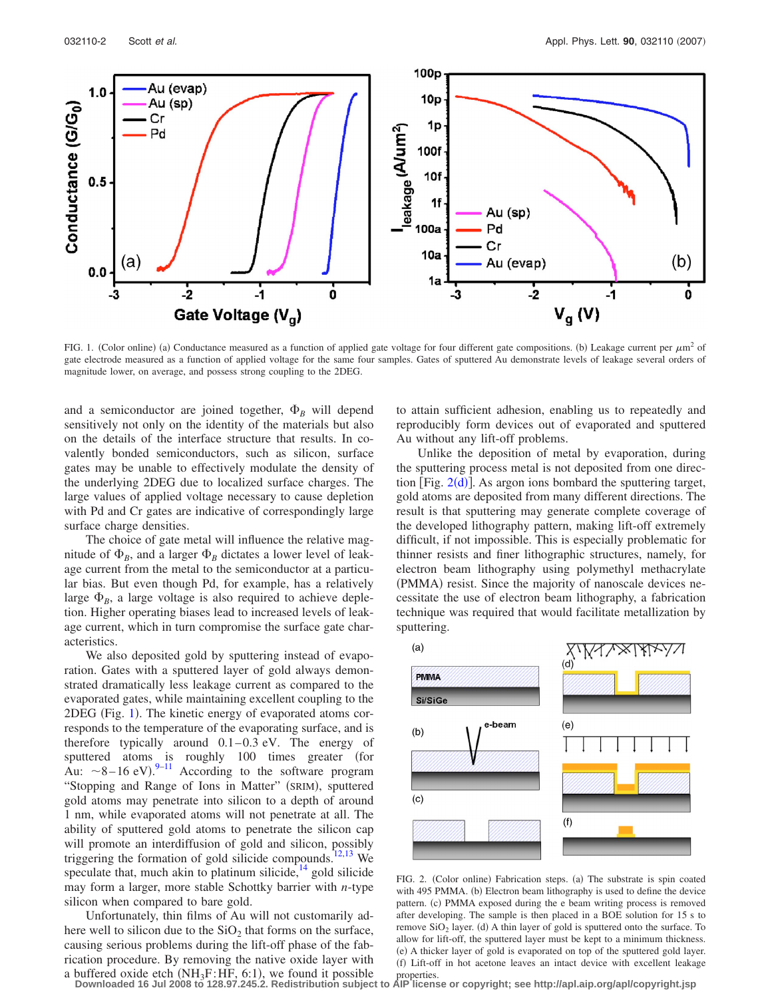<span id="page-1-0"></span>

FIG. 1. (Color online) (a) Conductance measured as a function of applied gate voltage for four different gate compositions. (b) Leakage current per  $\mu$ m<sup>2</sup> of gate electrode measured as a function of applied voltage for the same four samples. Gates of sputtered Au demonstrate levels of leakage several orders of magnitude lower, on average, and possess strong coupling to the 2DEG.

and a semiconductor are joined together,  $\Phi_B$  will depend sensitively not only on the identity of the materials but also on the details of the interface structure that results. In covalently bonded semiconductors, such as silicon, surface gates may be unable to effectively modulate the density of the underlying 2DEG due to localized surface charges. The large values of applied voltage necessary to cause depletion with Pd and Cr gates are indicative of correspondingly large surface charge densities.

The choice of gate metal will influence the relative magnitude of  $\Phi_B$ , and a larger  $\Phi_B$  dictates a lower level of leakage current from the metal to the semiconductor at a particular bias. But even though Pd, for example, has a relatively large  $\Phi_B$ , a large voltage is also required to achieve depletion. Higher operating biases lead to increased levels of leakage current, which in turn compromise the surface gate characteristics.

We also deposited gold by sputtering instead of evaporation. Gates with a sputtered layer of gold always demonstrated dramatically less leakage current as compared to the evaporated gates, while maintaining excellent coupling to the 2DEG (Fig. [1](#page-1-0)). The kinetic energy of evaporated atoms corresponds to the temperature of the evaporating surface, and is therefore typically around  $0.1-0.3$  eV. The energy of sputtered atoms is roughly 100 times greater (for Au:  $\sim$ 8-16 eV).<sup>9-[11](#page-2-8)</sup> According to the software program "Stopping and Range of Ions in Matter" (SRIM), sputtered gold atoms may penetrate into silicon to a depth of around 1 nm, while evaporated atoms will not penetrate at all. The ability of sputtered gold atoms to penetrate the silicon cap will promote an interdiffusion of gold and silicon, possibly triggering the formation of gold silicide compounds[.12](#page-2-9)[,13](#page-2-10) We speculate that, much akin to platinum silicide,  $^{14}$  gold silicide may form a larger, more stable Schottky barrier with *n*-type silicon when compared to bare gold.

Unfortunately, thin films of Au will not customarily adhere well to silicon due to the  $SiO<sub>2</sub>$  that forms on the surface, causing serious problems during the lift-off phase of the fabrication procedure. By removing the native oxide layer with to attain sufficient adhesion, enabling us to repeatedly and reproducibly form devices out of evaporated and sputtered Au without any lift-off problems.

Unlike the deposition of metal by evaporation, during the sputtering process metal is not deposited from one direction [Fig.  $2(d)$  $2(d)$ ]. As argon ions bombard the sputtering target, gold atoms are deposited from many different directions. The result is that sputtering may generate complete coverage of the developed lithography pattern, making lift-off extremely difficult, if not impossible. This is especially problematic for thinner resists and finer lithographic structures, namely, for electron beam lithography using polymethyl methacrylate (PMMA) resist. Since the majority of nanoscale devices necessitate the use of electron beam lithography, a fabrication technique was required that would facilitate metallization by sputtering.

<span id="page-1-1"></span>

FIG. 2. (Color online) Fabrication steps. (a) The substrate is spin coated with 495 PMMA. (b) Electron beam lithography is used to define the device pattern. (c) PMMA exposed during the e beam writing process is removed after developing. The sample is then placed in a BOE solution for 15 s to remove  $SiO<sub>2</sub>$  layer. (d) A thin layer of gold is sputtered onto the surface. To allow for lift-off, the sputtered layer must be kept to a minimum thickness. (e) A thicker layer of gold is evaporated on top of the sputtered gold layer. (f) Lift-off in hot acetone leaves an intact device with excellent leakage

a buffered oxide etch (NH<sub>3</sub>F:HF, 6:1), we found it possible properties.<br>Downloaded 16 Jul 2008 to 128.97.245.2. Redistribution subject to AIP license or copyright; see http://apl.aip.org/apl/copyright.jsp